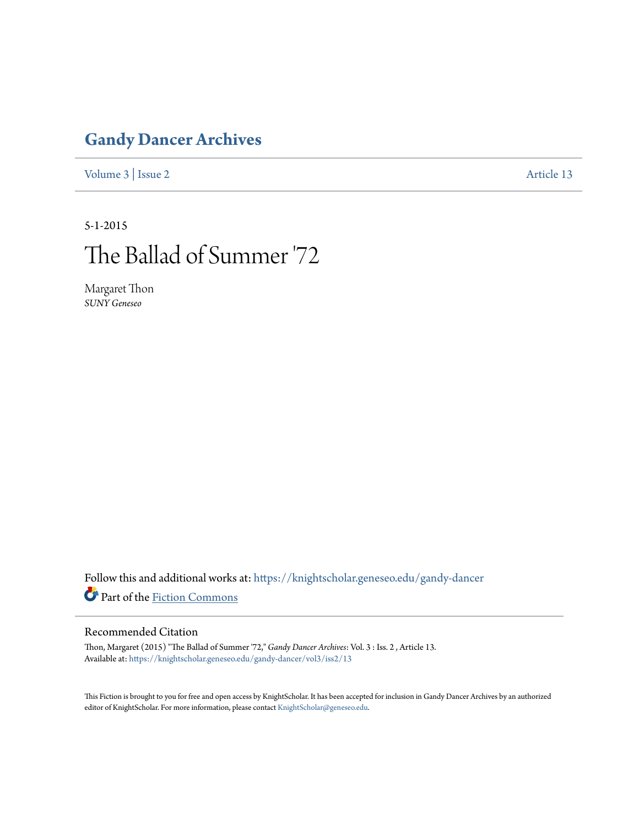## **[Gandy Dancer Archives](https://knightscholar.geneseo.edu/gandy-dancer?utm_source=knightscholar.geneseo.edu%2Fgandy-dancer%2Fvol3%2Fiss2%2F13&utm_medium=PDF&utm_campaign=PDFCoverPages)**

[Volume 3](https://knightscholar.geneseo.edu/gandy-dancer/vol3?utm_source=knightscholar.geneseo.edu%2Fgandy-dancer%2Fvol3%2Fiss2%2F13&utm_medium=PDF&utm_campaign=PDFCoverPages) | [Issue 2](https://knightscholar.geneseo.edu/gandy-dancer/vol3/iss2?utm_source=knightscholar.geneseo.edu%2Fgandy-dancer%2Fvol3%2Fiss2%2F13&utm_medium=PDF&utm_campaign=PDFCoverPages) [Article 13](https://knightscholar.geneseo.edu/gandy-dancer/vol3/iss2/13?utm_source=knightscholar.geneseo.edu%2Fgandy-dancer%2Fvol3%2Fiss2%2F13&utm_medium=PDF&utm_campaign=PDFCoverPages)

5-1-2015

## The Ballad of Summer '72

Margaret Thon *SUNY Geneseo*

Follow this and additional works at: [https://knightscholar.geneseo.edu/gandy-dancer](https://knightscholar.geneseo.edu/gandy-dancer?utm_source=knightscholar.geneseo.edu%2Fgandy-dancer%2Fvol3%2Fiss2%2F13&utm_medium=PDF&utm_campaign=PDFCoverPages) Part of the [Fiction Commons](http://network.bepress.com/hgg/discipline/1151?utm_source=knightscholar.geneseo.edu%2Fgandy-dancer%2Fvol3%2Fiss2%2F13&utm_medium=PDF&utm_campaign=PDFCoverPages)

## Recommended Citation

Thon, Margaret (2015) "The Ballad of Summer '72," *Gandy Dancer Archives*: Vol. 3 : Iss. 2 , Article 13. Available at: [https://knightscholar.geneseo.edu/gandy-dancer/vol3/iss2/13](https://knightscholar.geneseo.edu/gandy-dancer/vol3/iss2/13?utm_source=knightscholar.geneseo.edu%2Fgandy-dancer%2Fvol3%2Fiss2%2F13&utm_medium=PDF&utm_campaign=PDFCoverPages)

This Fiction is brought to you for free and open access by KnightScholar. It has been accepted for inclusion in Gandy Dancer Archives by an authorized editor of KnightScholar. For more information, please contact [KnightScholar@geneseo.edu.](mailto:KnightScholar@geneseo.edu)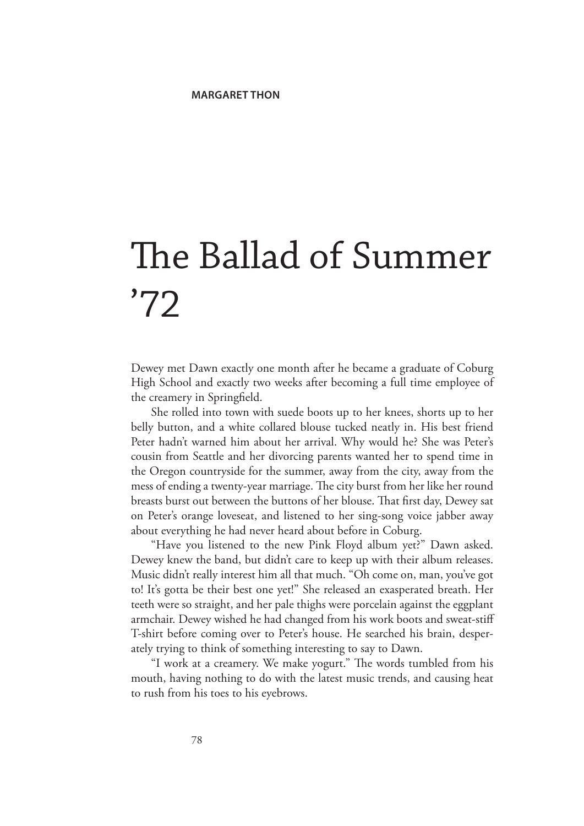## The Ballad of Summer '72

Dewey met Dawn exactly one month after he became a graduate of Coburg High School and exactly two weeks after becoming a full time employee of the creamery in Springfield.

She rolled into town with suede boots up to her knees, shorts up to her belly button, and a white collared blouse tucked neatly in. His best friend Peter hadn't warned him about her arrival. Why would he? She was Peter's cousin from Seattle and her divorcing parents wanted her to spend time in the Oregon countryside for the summer, away from the city, away from the mess of ending a twenty-year marriage. The city burst from her like her round breasts burst out between the buttons of her blouse. That first day, Dewey sat on Peter's orange loveseat, and listened to her sing-song voice jabber away about everything he had never heard about before in Coburg.

"Have you listened to the new Pink Floyd album yet?" Dawn asked. Dewey knew the band, but didn't care to keep up with their album releases. Music didn't really interest him all that much. "Oh come on, man, you've got to! It's gotta be their best one yet!" She released an exasperated breath. Her teeth were so straight, and her pale thighs were porcelain against the eggplant armchair. Dewey wished he had changed from his work boots and sweat-stiff T-shirt before coming over to Peter's house. He searched his brain, desperately trying to think of something interesting to say to Dawn.

"I work at a creamery. We make yogurt." The words tumbled from his mouth, having nothing to do with the latest music trends, and causing heat to rush from his toes to his eyebrows.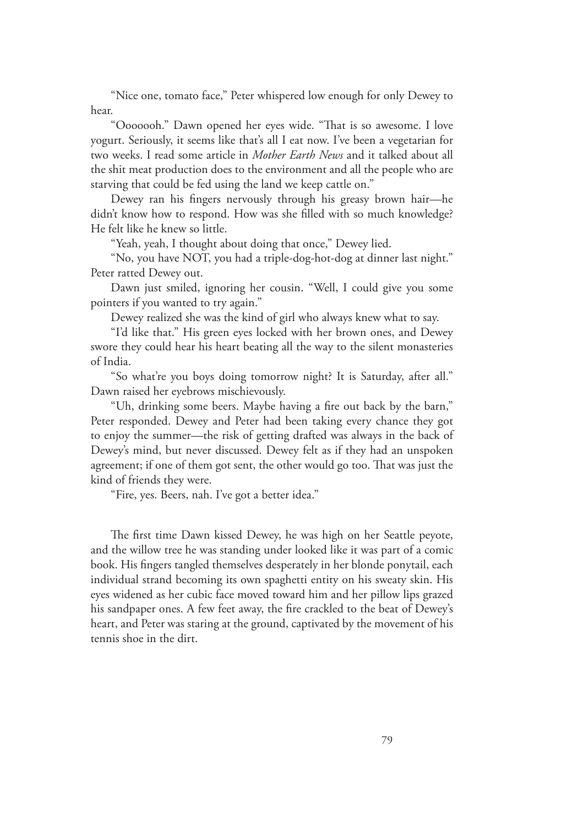"Nice one, tomato face," Peter whispered low enough for only Dewey to hear.

"Ooooooh." Dawn opened her eyes wide. "That is so awesome. I love yogurt. Seriously, it seems like that's all I eat now. I've been a vegetarian for two weeks. I read some article in *Mother Earth News* and it talked about all the shit meat production does to the environment and all the people who are starving that could be fed using the land we keep cattle on."

Dewey ran his fingers nervously through his greasy brown hair—he didn't know how to respond. How was she filled with so much knowledge? He felt like he knew so little.

"Yeah, yeah, I thought about doing that once," Dewey lied.

"No, you have NOT, you had a triple-dog-hot-dog at dinner last night." Peter ratted Dewey out.

Dawn just smiled, ignoring her cousin. "Well, I could give you some pointers if you wanted to try again."

Dewey realized she was the kind of girl who always knew what to say.

"I'd like that." His green eyes locked with her brown ones, and Dewey swore they could hear his heart beating all the way to the silent monasteries of India.

"So what're you boys doing tomorrow night? It is Saturday, after all." Dawn raised her eyebrows mischievously.

"Uh, drinking some beers. Maybe having a fire out back by the barn," Peter responded. Dewey and Peter had been taking every chance they got to enjoy the summer—the risk of getting drafted was always in the back of Dewey's mind, but never discussed. Dewey felt as if they had an unspoken agreement; if one of them got sent, the other would go too. That was just the kind of friends they were.

"Fire, yes. Beers, nah. I've got a better idea."

The first time Dawn kissed Dewey, he was high on her Seattle peyote, and the willow tree he was standing under looked like it was part of a comic book. His fingers tangled themselves desperately in her blonde ponytail, each individual strand becoming its own spaghetti entity on his sweaty skin. His eyes widened as her cubic face moved toward him and her pillow lips grazed his sandpaper ones. A few feet away, the fire crackled to the beat of Dewey's heart, and Peter was staring at the ground, captivated by the movement of his tennis shoe in the dirt.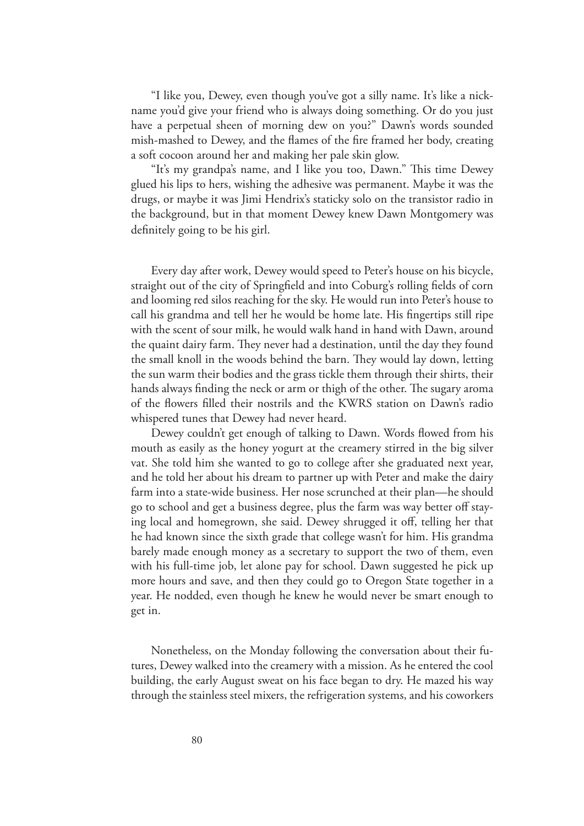"I like you, Dewey, even though you've got a silly name. It's like a nickname you'd give your friend who is always doing something. Or do you just have a perpetual sheen of morning dew on you?" Dawn's words sounded mish-mashed to Dewey, and the flames of the fire framed her body, creating a soft cocoon around her and making her pale skin glow.

"It's my grandpa's name, and I like you too, Dawn." This time Dewey glued his lips to hers, wishing the adhesive was permanent. Maybe it was the drugs, or maybe it was Jimi Hendrix's staticky solo on the transistor radio in the background, but in that moment Dewey knew Dawn Montgomery was definitely going to be his girl.

Every day after work, Dewey would speed to Peter's house on his bicycle, straight out of the city of Springfield and into Coburg's rolling fields of corn and looming red silos reaching for the sky. He would run into Peter's house to call his grandma and tell her he would be home late. His fingertips still ripe with the scent of sour milk, he would walk hand in hand with Dawn, around the quaint dairy farm. They never had a destination, until the day they found the small knoll in the woods behind the barn. They would lay down, letting the sun warm their bodies and the grass tickle them through their shirts, their hands always finding the neck or arm or thigh of the other. The sugary aroma of the flowers filled their nostrils and the KWRS station on Dawn's radio whispered tunes that Dewey had never heard.

Dewey couldn't get enough of talking to Dawn. Words flowed from his mouth as easily as the honey yogurt at the creamery stirred in the big silver vat. She told him she wanted to go to college after she graduated next year, and he told her about his dream to partner up with Peter and make the dairy farm into a state-wide business. Her nose scrunched at their plan—he should go to school and get a business degree, plus the farm was way better off staying local and homegrown, she said. Dewey shrugged it off, telling her that he had known since the sixth grade that college wasn't for him. His grandma barely made enough money as a secretary to support the two of them, even with his full-time job, let alone pay for school. Dawn suggested he pick up more hours and save, and then they could go to Oregon State together in a year. He nodded, even though he knew he would never be smart enough to get in.

Nonetheless, on the Monday following the conversation about their futures, Dewey walked into the creamery with a mission. As he entered the cool building, the early August sweat on his face began to dry. He mazed his way through the stainless steel mixers, the refrigeration systems, and his coworkers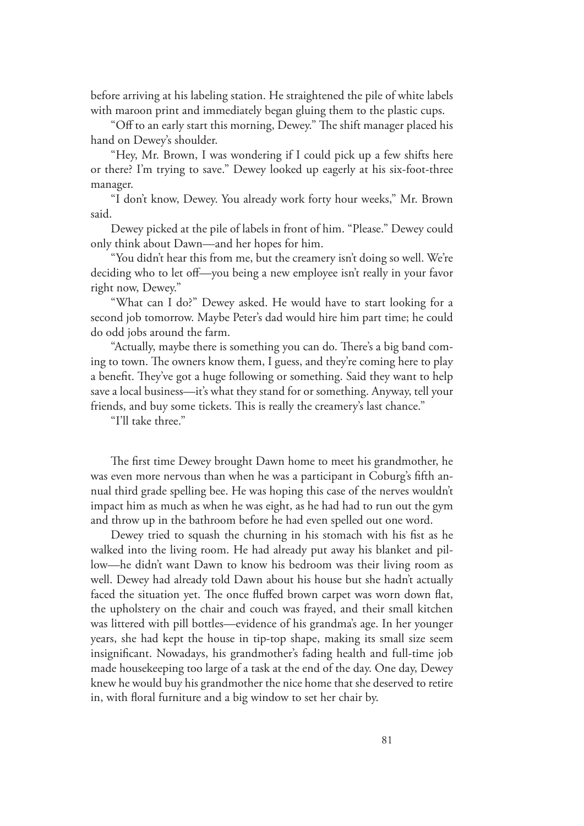before arriving at his labeling station. He straightened the pile of white labels with maroon print and immediately began gluing them to the plastic cups.

"Off to an early start this morning, Dewey." The shift manager placed his hand on Dewey's shoulder.

"Hey, Mr. Brown, I was wondering if I could pick up a few shifts here or there? I'm trying to save." Dewey looked up eagerly at his six-foot-three manager.

"I don't know, Dewey. You already work forty hour weeks," Mr. Brown said.

Dewey picked at the pile of labels in front of him. "Please." Dewey could only think about Dawn—and her hopes for him.

"You didn't hear this from me, but the creamery isn't doing so well. We're deciding who to let off—you being a new employee isn't really in your favor right now, Dewey."

"What can I do?" Dewey asked. He would have to start looking for a second job tomorrow. Maybe Peter's dad would hire him part time; he could do odd jobs around the farm.

"Actually, maybe there is something you can do. There's a big band coming to town. The owners know them, I guess, and they're coming here to play a benefit. They've got a huge following or something. Said they want to help save a local business—it's what they stand for or something. Anyway, tell your friends, and buy some tickets. This is really the creamery's last chance."

"I'll take three."

The first time Dewey brought Dawn home to meet his grandmother, he was even more nervous than when he was a participant in Coburg's fifth annual third grade spelling bee. He was hoping this case of the nerves wouldn't impact him as much as when he was eight, as he had had to run out the gym and throw up in the bathroom before he had even spelled out one word.

Dewey tried to squash the churning in his stomach with his fist as he walked into the living room. He had already put away his blanket and pillow—he didn't want Dawn to know his bedroom was their living room as well. Dewey had already told Dawn about his house but she hadn't actually faced the situation yet. The once fluffed brown carpet was worn down flat, the upholstery on the chair and couch was frayed, and their small kitchen was littered with pill bottles—evidence of his grandma's age. In her younger years, she had kept the house in tip-top shape, making its small size seem insignificant. Nowadays, his grandmother's fading health and full-time job made housekeeping too large of a task at the end of the day. One day, Dewey knew he would buy his grandmother the nice home that she deserved to retire in, with floral furniture and a big window to set her chair by.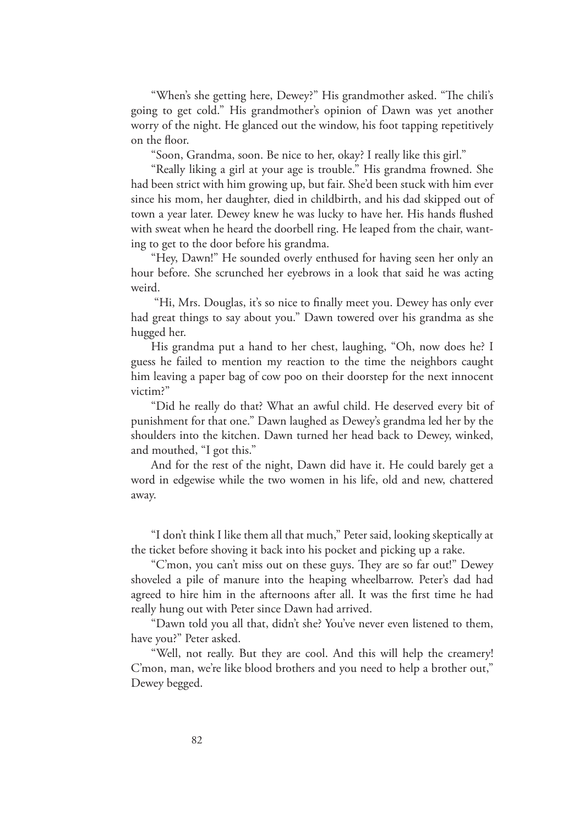"When's she getting here, Dewey?" His grandmother asked. "The chili's going to get cold." His grandmother's opinion of Dawn was yet another worry of the night. He glanced out the window, his foot tapping repetitively on the floor.

"Soon, Grandma, soon. Be nice to her, okay? I really like this girl."

"Really liking a girl at your age is trouble." His grandma frowned. She had been strict with him growing up, but fair. She'd been stuck with him ever since his mom, her daughter, died in childbirth, and his dad skipped out of town a year later. Dewey knew he was lucky to have her. His hands flushed with sweat when he heard the doorbell ring. He leaped from the chair, wanting to get to the door before his grandma.

"Hey, Dawn!" He sounded overly enthused for having seen her only an hour before. She scrunched her eyebrows in a look that said he was acting weird.

 "Hi, Mrs. Douglas, it's so nice to finally meet you. Dewey has only ever had great things to say about you." Dawn towered over his grandma as she hugged her.

His grandma put a hand to her chest, laughing, "Oh, now does he? I guess he failed to mention my reaction to the time the neighbors caught him leaving a paper bag of cow poo on their doorstep for the next innocent victim?"

"Did he really do that? What an awful child. He deserved every bit of punishment for that one." Dawn laughed as Dewey's grandma led her by the shoulders into the kitchen. Dawn turned her head back to Dewey, winked, and mouthed, "I got this."

And for the rest of the night, Dawn did have it. He could barely get a word in edgewise while the two women in his life, old and new, chattered away.

"I don't think I like them all that much," Peter said, looking skeptically at the ticket before shoving it back into his pocket and picking up a rake.

"C'mon, you can't miss out on these guys. They are so far out!" Dewey shoveled a pile of manure into the heaping wheelbarrow. Peter's dad had agreed to hire him in the afternoons after all. It was the first time he had really hung out with Peter since Dawn had arrived.

"Dawn told you all that, didn't she? You've never even listened to them, have you?" Peter asked.

"Well, not really. But they are cool. And this will help the creamery! C'mon, man, we're like blood brothers and you need to help a brother out," Dewey begged.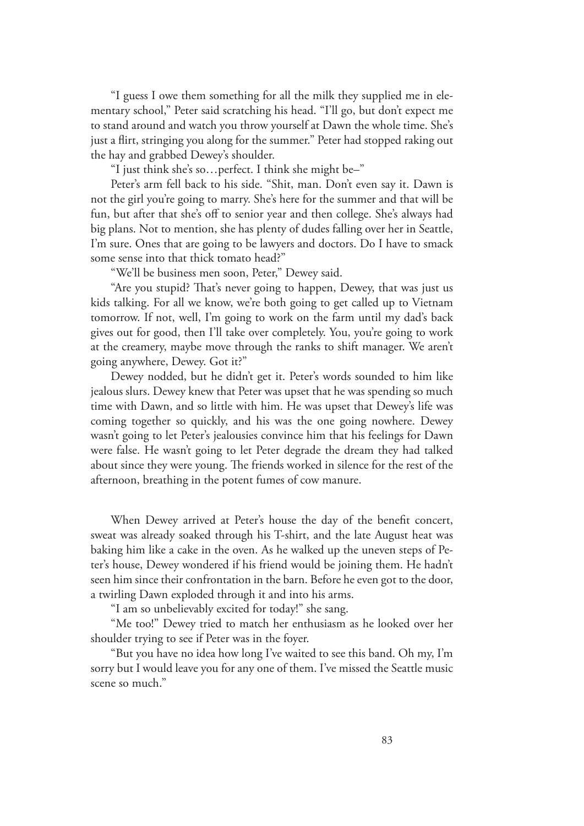"I guess I owe them something for all the milk they supplied me in elementary school," Peter said scratching his head. "I'll go, but don't expect me to stand around and watch you throw yourself at Dawn the whole time. She's just a flirt, stringing you along for the summer." Peter had stopped raking out the hay and grabbed Dewey's shoulder.

"I just think she's so…perfect. I think she might be–"

Peter's arm fell back to his side. "Shit, man. Don't even say it. Dawn is not the girl you're going to marry. She's here for the summer and that will be fun, but after that she's off to senior year and then college. She's always had big plans. Not to mention, she has plenty of dudes falling over her in Seattle, I'm sure. Ones that are going to be lawyers and doctors. Do I have to smack some sense into that thick tomato head?"

"We'll be business men soon, Peter," Dewey said.

"Are you stupid? That's never going to happen, Dewey, that was just us kids talking. For all we know, we're both going to get called up to Vietnam tomorrow. If not, well, I'm going to work on the farm until my dad's back gives out for good, then I'll take over completely. You, you're going to work at the creamery, maybe move through the ranks to shift manager. We aren't going anywhere, Dewey. Got it?"

Dewey nodded, but he didn't get it. Peter's words sounded to him like jealous slurs. Dewey knew that Peter was upset that he was spending so much time with Dawn, and so little with him. He was upset that Dewey's life was coming together so quickly, and his was the one going nowhere. Dewey wasn't going to let Peter's jealousies convince him that his feelings for Dawn were false. He wasn't going to let Peter degrade the dream they had talked about since they were young. The friends worked in silence for the rest of the afternoon, breathing in the potent fumes of cow manure.

When Dewey arrived at Peter's house the day of the benefit concert, sweat was already soaked through his T-shirt, and the late August heat was baking him like a cake in the oven. As he walked up the uneven steps of Peter's house, Dewey wondered if his friend would be joining them. He hadn't seen him since their confrontation in the barn. Before he even got to the door, a twirling Dawn exploded through it and into his arms.

"I am so unbelievably excited for today!" she sang.

"Me too!" Dewey tried to match her enthusiasm as he looked over her shoulder trying to see if Peter was in the foyer.

"But you have no idea how long I've waited to see this band. Oh my, I'm sorry but I would leave you for any one of them. I've missed the Seattle music scene so much."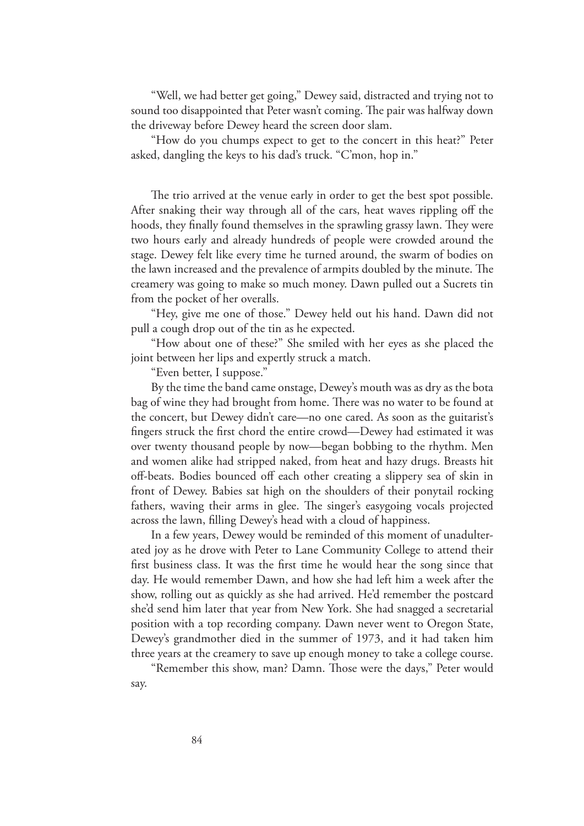"Well, we had better get going," Dewey said, distracted and trying not to sound too disappointed that Peter wasn't coming. The pair was halfway down the driveway before Dewey heard the screen door slam.

"How do you chumps expect to get to the concert in this heat?" Peter asked, dangling the keys to his dad's truck. "C'mon, hop in."

The trio arrived at the venue early in order to get the best spot possible. After snaking their way through all of the cars, heat waves rippling off the hoods, they finally found themselves in the sprawling grassy lawn. They were two hours early and already hundreds of people were crowded around the stage. Dewey felt like every time he turned around, the swarm of bodies on the lawn increased and the prevalence of armpits doubled by the minute. The creamery was going to make so much money. Dawn pulled out a Sucrets tin from the pocket of her overalls.

"Hey, give me one of those." Dewey held out his hand. Dawn did not pull a cough drop out of the tin as he expected.

"How about one of these?" She smiled with her eyes as she placed the joint between her lips and expertly struck a match.

"Even better, I suppose."

By the time the band came onstage, Dewey's mouth was as dry as the bota bag of wine they had brought from home. There was no water to be found at the concert, but Dewey didn't care—no one cared. As soon as the guitarist's fingers struck the first chord the entire crowd—Dewey had estimated it was over twenty thousand people by now—began bobbing to the rhythm. Men and women alike had stripped naked, from heat and hazy drugs. Breasts hit off-beats. Bodies bounced off each other creating a slippery sea of skin in front of Dewey. Babies sat high on the shoulders of their ponytail rocking fathers, waving their arms in glee. The singer's easygoing vocals projected across the lawn, filling Dewey's head with a cloud of happiness.

In a few years, Dewey would be reminded of this moment of unadulterated joy as he drove with Peter to Lane Community College to attend their first business class. It was the first time he would hear the song since that day. He would remember Dawn, and how she had left him a week after the show, rolling out as quickly as she had arrived. He'd remember the postcard she'd send him later that year from New York. She had snagged a secretarial position with a top recording company. Dawn never went to Oregon State, Dewey's grandmother died in the summer of 1973, and it had taken him three years at the creamery to save up enough money to take a college course.

"Remember this show, man? Damn. Those were the days," Peter would say.